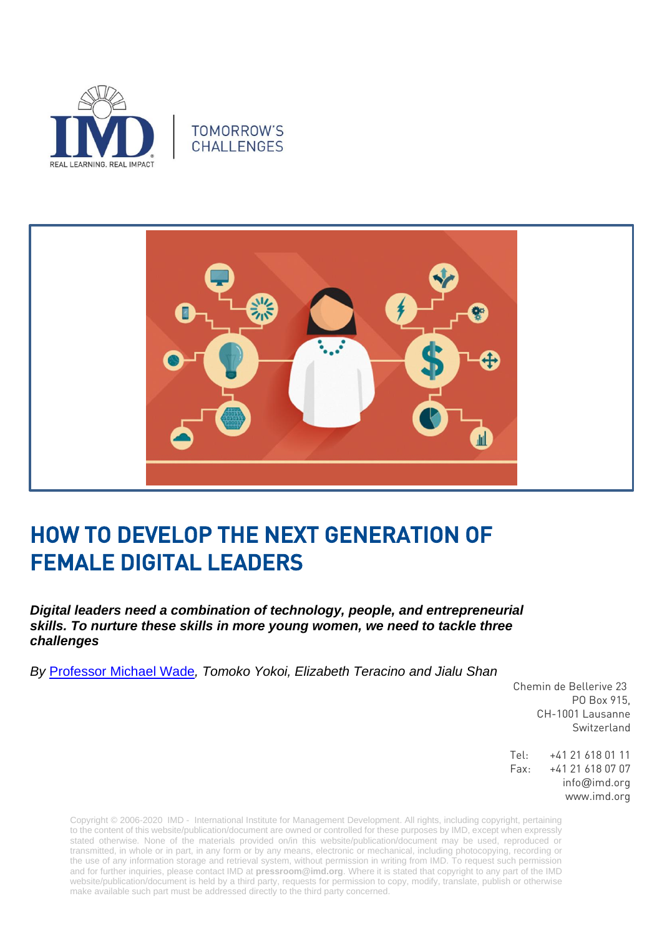





## HOW TO DEVELOP THE NEXT GENERATION OF FEMALE DIGITAL LEADERS

*Digital leaders need a combination of technology, people, and entrepreneurial skills. To nurture these skills in more young women, we need to tackle three challenges*

*By* [Professor Michael Wade](https://www.imd.org/faculty/professors/michael-wade/)*, Tomoko Yokoi, Elizabeth Teracino and Jialu Shan* 

Chemin de Bellerive 23 PO Box 915, CH-1001 Lausanne Switzerland

Tel: +41 21 618 01 11 Fax: +41 21 618 07 07 info@imd.org www.imd.org

Copyright © 2006-2020 IMD - International Institute for Management Development. All rights, including copyright, pertaining to the content of this website/publication/document are owned or controlled for these purposes by IMD, except when expressly stated otherwise. None of the materials provided on/in this website/publication/document may be used, reproduced or transmitted, in whole or in part, in any form or by any means, electronic or mechanical, including photocopying, recording or the use of any information storage and retrieval system, without permission in writing from IMD. To request such permission and for further inquiries, please contact IMD at **[pressroom@imd.org](mailto:pressroom@imd.org)**. Where it is stated that copyright to any part of the IMD website/publication/document is held by a third party, requests for permission to copy, modify, translate, publish or otherwise make available such part must be addressed directly to the third party concerned.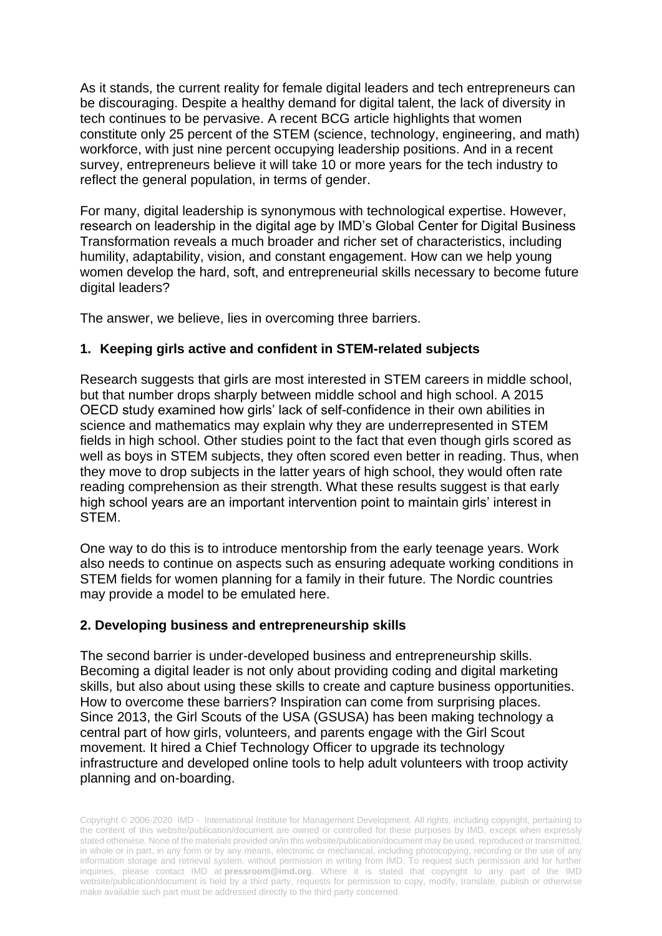As it stands, the current reality for female digital leaders and tech entrepreneurs can be discouraging. Despite a healthy demand for digital talent, the lack of diversity in tech continues to be pervasive. A recent BCG article highlights that women constitute only 25 percent of the STEM (science, technology, engineering, and math) workforce, with just nine percent occupying leadership positions. And in a recent survey, entrepreneurs believe it will take 10 or more years for the tech industry to reflect the general population, in terms of gender.

For many, digital leadership is synonymous with technological expertise. However, research on leadership in the digital age by IMD's Global Center for Digital Business Transformation reveals a much broader and richer set of characteristics, including humility, adaptability, vision, and constant engagement. How can we help young women develop the hard, soft, and entrepreneurial skills necessary to become future digital leaders?

The answer, we believe, lies in overcoming three barriers.

## **1. Keeping girls active and confident in STEM-related subjects**

Research suggests that girls are most interested in STEM careers in middle school, but that number drops sharply between middle school and high school. A 2015 OECD study examined how girls' lack of self-confidence in their own abilities in science and mathematics may explain why they are underrepresented in STEM fields in high school. Other studies point to the fact that even though girls scored as well as boys in STEM subjects, they often scored even better in reading. Thus, when they move to drop subjects in the latter years of high school, they would often rate reading comprehension as their strength. What these results suggest is that early high school years are an important intervention point to maintain girls' interest in STEM.

One way to do this is to introduce mentorship from the early teenage years. Work also needs to continue on aspects such as ensuring adequate working conditions in STEM fields for women planning for a family in their future. The Nordic countries may provide a model to be emulated here.

## **2. Developing business and entrepreneurship skills**

The second barrier is under-developed business and entrepreneurship skills. Becoming a digital leader is not only about providing coding and digital marketing skills, but also about using these skills to create and capture business opportunities. How to overcome these barriers? Inspiration can come from surprising places. Since 2013, the Girl Scouts of the USA (GSUSA) has been making technology a central part of how girls, volunteers, and parents engage with the Girl Scout movement. It hired a Chief Technology Officer to upgrade its technology infrastructure and developed online tools to help adult volunteers with troop activity planning and on-boarding.

Copyright © 2006-2020 IMD - International Institute for Management Development. All rights, including copyright, pertaining to the content of this website/publication/document are owned or controlled for these purposes by IMD, except when expressly stated otherwise. None of the materials provided on/in this website/publication/document may be used, reproduced or transmitted, in whole or in part, in any form or by any means, electronic or mechanical, including photocopying, recording or the use of any information storage and retrieval system, without permission in writing from IMD. To request such permission and for further inquiries, please contact IMD at **[pressroom@imd.org](mailto:pressroom@imd.org)**. Where it is stated that copyright to any part of the IMD website/publication/document is held by a third party, requests for permission to copy, modify, translate, publish or otherwise make available such part must be addressed directly to the third party concerned.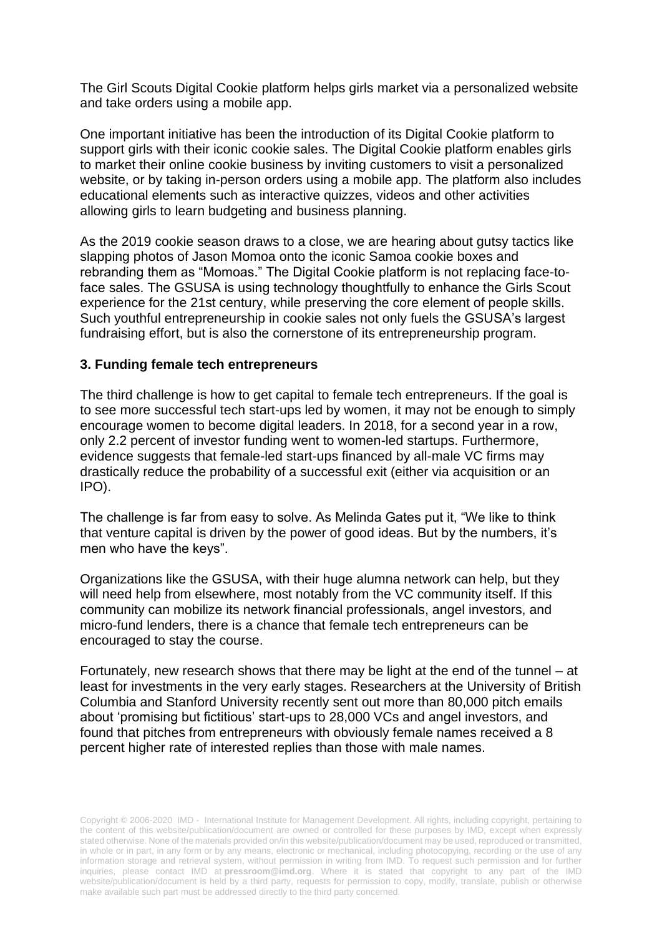The Girl Scouts Digital Cookie platform helps girls market via a personalized website and take orders using a mobile app.

One important initiative has been the introduction of its Digital Cookie platform to support girls with their iconic cookie sales. The Digital Cookie platform enables girls to market their online cookie business by inviting customers to visit a personalized website, or by taking in-person orders using a mobile app. The platform also includes educational elements such as interactive quizzes, videos and other activities allowing girls to learn budgeting and business planning.

As the 2019 cookie season draws to a close, we are hearing about gutsy tactics like slapping photos of Jason Momoa onto the iconic Samoa cookie boxes and rebranding them as "Momoas." The Digital Cookie platform is not replacing face-toface sales. The GSUSA is using technology thoughtfully to enhance the Girls Scout experience for the 21st century, while preserving the core element of people skills. Such youthful entrepreneurship in cookie sales not only fuels the GSUSA's largest fundraising effort, but is also the cornerstone of its entrepreneurship program.

## **3. Funding female tech entrepreneurs**

The third challenge is how to get capital to female tech entrepreneurs. If the goal is to see more successful tech start-ups led by women, it may not be enough to simply encourage women to become digital leaders. In 2018, for a second year in a row, only 2.2 percent of investor funding went to women-led startups. Furthermore, evidence suggests that female-led start-ups financed by all-male VC firms may drastically reduce the probability of a successful exit (either via acquisition or an IPO).

The challenge is far from easy to solve. As Melinda Gates put it, "We like to think that venture capital is driven by the power of good ideas. But by the numbers, it's men who have the keys".

Organizations like the GSUSA, with their huge alumna network can help, but they will need help from elsewhere, most notably from the VC community itself. If this community can mobilize its network financial professionals, angel investors, and micro-fund lenders, there is a chance that female tech entrepreneurs can be encouraged to stay the course.

Fortunately, new research shows that there may be light at the end of the tunnel – at least for investments in the very early stages. Researchers at the University of British Columbia and Stanford University recently sent out more than 80,000 pitch emails about 'promising but fictitious' start-ups to 28,000 VCs and angel investors, and found that pitches from entrepreneurs with obviously female names received a 8 percent higher rate of interested replies than those with male names.

Copyright © 2006-2020 IMD - International Institute for Management Development. All rights, including copyright, pertaining to the content of this website/publication/document are owned or controlled for these purposes by IMD, except when expressly stated otherwise. None of the materials provided on/in this website/publication/document may be used, reproduced or transmitted, in whole or in part, in any form or by any means, electronic or mechanical, including photocopying, recording or the use of any information storage and retrieval system, without permission in writing from IMD. To request such permission and for further inquiries, please contact IMD at **[pressroom@imd.org](mailto:pressroom@imd.org)**. Where it is stated that copyright to any part of the IMD website/publication/document is held by a third party, requests for permission to copy, modify, translate, publish or otherwise make available such part must be addressed directly to the third party concerned.